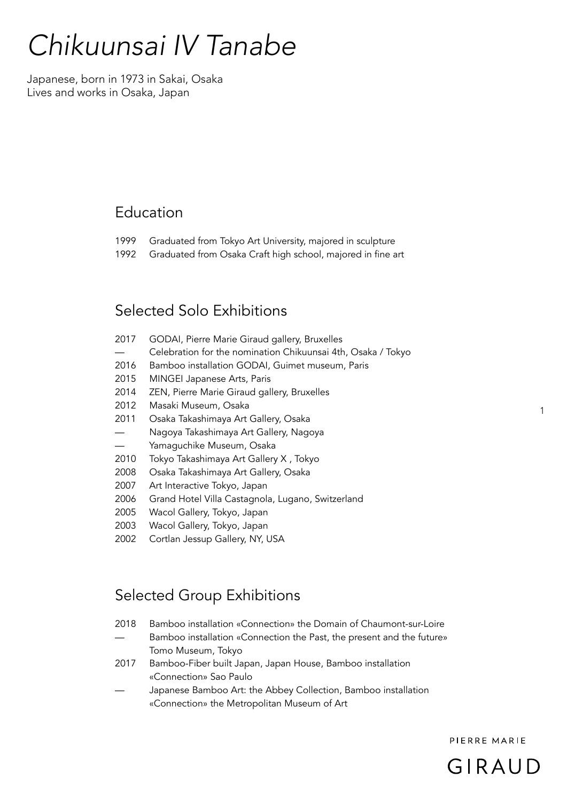# *Chikuunsai IV Tanabe*

Japanese, born in 1973 in Sakai, Osaka Lives and works in Osaka, Japan

### Education

- 1999 Graduated from Tokyo Art University, majored in sculpture
- 1992 Graduated from Osaka Craft high school, majored in fine art

### Selected Solo Exhibitions

| 2017 | GODAI, Pierre Marie Giraud gallery, Bruxelles                |
|------|--------------------------------------------------------------|
|      | Celebration for the nomination Chikuunsai 4th, Osaka / Tokyo |
| 2016 | Bamboo installation GODAI, Guimet museum, Paris              |
| 2015 | MINGEI Japanese Arts, Paris                                  |
| 2014 | ZEN, Pierre Marie Giraud gallery, Bruxelles                  |
| 2012 | Masaki Museum, Osaka                                         |
| 2011 | Osaka Takashimaya Art Gallery, Osaka                         |
|      | Nagoya Takashimaya Art Gallery, Nagoya                       |
|      | Yamaguchike Museum, Osaka                                    |
| 2010 | Tokyo Takashimaya Art Gallery X, Tokyo                       |
| 2008 | Osaka Takashimaya Art Gallery, Osaka                         |
| 2007 | Art Interactive Tokyo, Japan                                 |
| 2006 | Grand Hotel Villa Castagnola, Lugano, Switzerland            |
| 2005 | Wacol Gallery, Tokyo, Japan                                  |
| 2003 | Wacol Gallery, Tokyo, Japan                                  |

2002 Cortlan Jessup Gallery, NY, USA

# Selected Group Exhibitions

- 2018 Bamboo installation «Connection» the Domain of Chaumont-sur-Loire
- Bamboo installation «Connection the Past, the present and the future» Tomo Museum, Tokyo
- 2017 Bamboo-Fiber built Japan, Japan House, Bamboo installation «Connection» Sao Paulo
- Japanese Bamboo Art: the Abbey Collection, Bamboo installation «Connection» the Metropolitan Museum of Art

PIERRE MARIE



1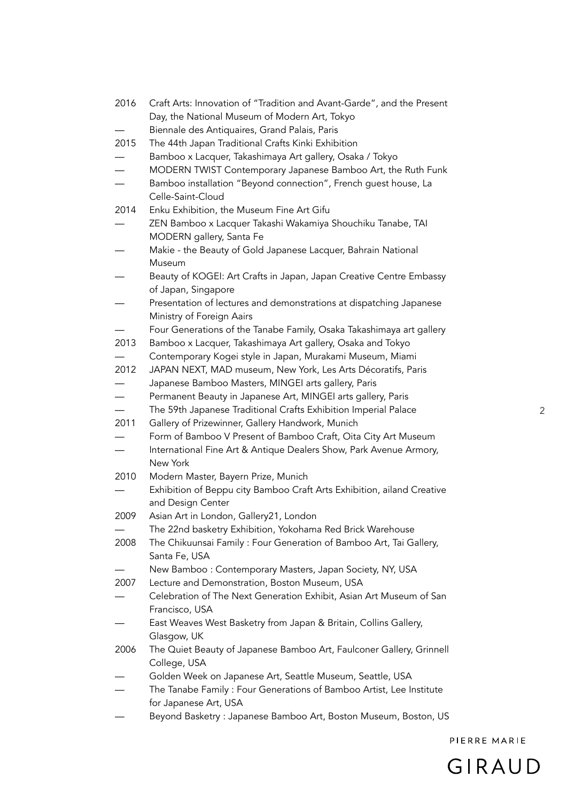| 2016                     | Craft Arts: Innovation of "Tradition and Avant-Garde", and the Present<br>Day, the National Museum of Modern Art, Tokyo |
|--------------------------|-------------------------------------------------------------------------------------------------------------------------|
|                          | Biennale des Antiquaires, Grand Palais, Paris                                                                           |
| 2015                     | The 44th Japan Traditional Crafts Kinki Exhibition                                                                      |
|                          | Bamboo x Lacquer, Takashimaya Art gallery, Osaka / Tokyo                                                                |
|                          | MODERN TWIST Contemporary Japanese Bamboo Art, the Ruth Funk                                                            |
|                          | Bamboo installation "Beyond connection", French guest house, La                                                         |
|                          | Celle-Saint-Cloud                                                                                                       |
| 2014                     | Enku Exhibition, the Museum Fine Art Gifu                                                                               |
|                          | ZEN Bamboo x Lacquer Takashi Wakamiya Shouchiku Tanabe, TAI                                                             |
|                          | MODERN gallery, Santa Fe                                                                                                |
|                          | Makie - the Beauty of Gold Japanese Lacquer, Bahrain National                                                           |
|                          | Museum                                                                                                                  |
|                          |                                                                                                                         |
|                          | Beauty of KOGEI: Art Crafts in Japan, Japan Creative Centre Embassy                                                     |
|                          | of Japan, Singapore                                                                                                     |
|                          | Presentation of lectures and demonstrations at dispatching Japanese                                                     |
|                          | Ministry of Foreign Aairs                                                                                               |
|                          | Four Generations of the Tanabe Family, Osaka Takashimaya art gallery                                                    |
| 2013                     | Bamboo x Lacquer, Takashimaya Art gallery, Osaka and Tokyo                                                              |
|                          | Contemporary Kogei style in Japan, Murakami Museum, Miami                                                               |
| 2012                     | JAPAN NEXT, MAD museum, New York, Les Arts Décoratifs, Paris                                                            |
|                          | Japanese Bamboo Masters, MINGEI arts gallery, Paris                                                                     |
|                          | Permanent Beauty in Japanese Art, MINGEI arts gallery, Paris                                                            |
| $\overline{\phantom{0}}$ | The 59th Japanese Traditional Crafts Exhibition Imperial Palace                                                         |
| 2011                     | Gallery of Prizewinner, Gallery Handwork, Munich                                                                        |
|                          | Form of Bamboo V Present of Bamboo Craft, Oita City Art Museum                                                          |
|                          | International Fine Art & Antique Dealers Show, Park Avenue Armory,                                                      |
|                          | New York                                                                                                                |
| 2010                     | Modern Master, Bayern Prize, Munich                                                                                     |
|                          | Exhibition of Beppu city Bamboo Craft Arts Exhibition, ailand Creative                                                  |
|                          | and Design Center                                                                                                       |
| 2009                     | Asian Art in London, Gallery21, London                                                                                  |
|                          | The 22nd basketry Exhibition, Yokohama Red Brick Warehouse                                                              |
| 2008                     | The Chikuunsai Family: Four Generation of Bamboo Art, Tai Gallery,                                                      |
|                          | Santa Fe, USA                                                                                                           |
|                          | New Bamboo: Contemporary Masters, Japan Society, NY, USA                                                                |
| 2007                     | Lecture and Demonstration, Boston Museum, USA                                                                           |
|                          | Celebration of The Next Generation Exhibit, Asian Art Museum of San                                                     |
|                          | Francisco, USA                                                                                                          |
|                          | East Weaves West Basketry from Japan & Britain, Collins Gallery,                                                        |
|                          | Glasgow, UK                                                                                                             |
| 2006                     | The Quiet Beauty of Japanese Bamboo Art, Faulconer Gallery, Grinnell                                                    |
|                          | College, USA                                                                                                            |
|                          | Golden Week on Japanese Art, Seattle Museum, Seattle, USA                                                               |
|                          | The Tanabe Family: Four Generations of Bamboo Artist, Lee Institute                                                     |
|                          | for Japanese Art, USA                                                                                                   |
|                          | Beyond Basketry: Japanese Bamboo Art, Boston Museum, Boston, US                                                         |
|                          |                                                                                                                         |

PIERRE MARIE